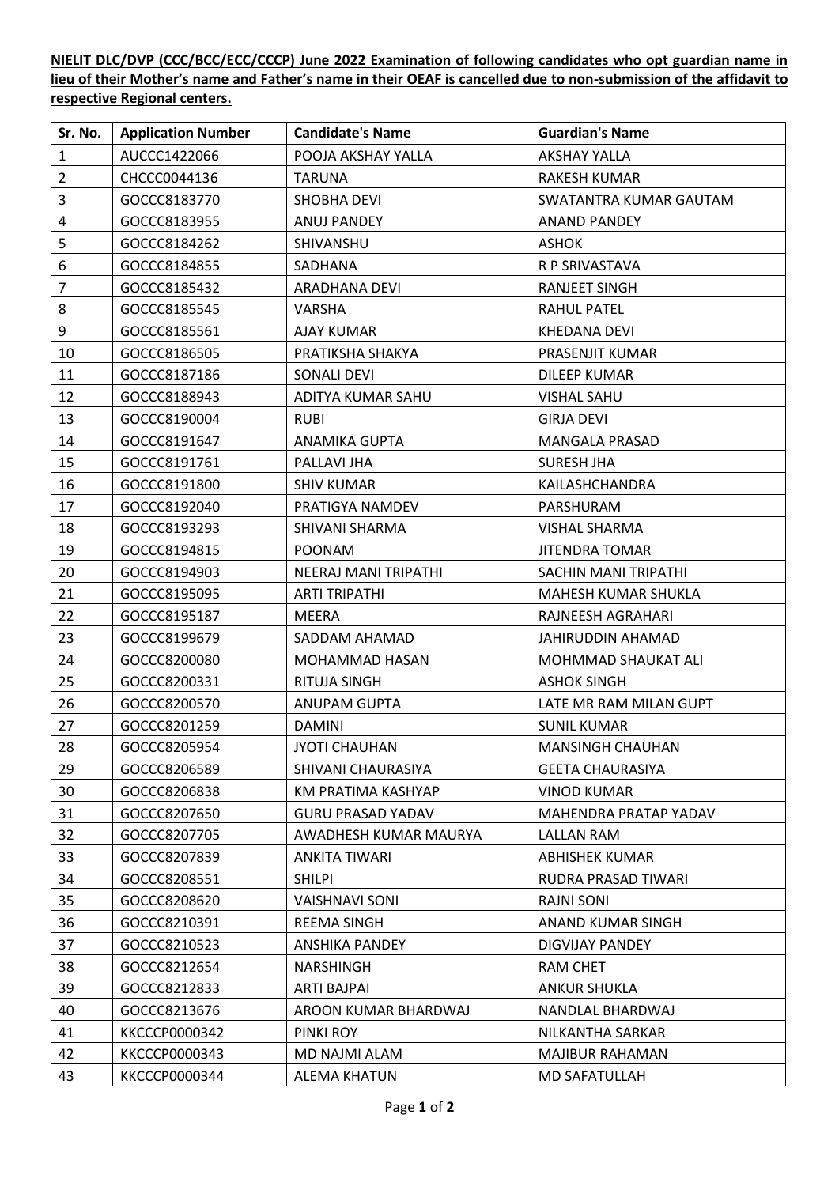**NIELIT DLC/DVP (CCC/BCC/ECC/CCCP) June 2022 Examination of following candidates who opt guardian name in lieu of their Mother's name and Father's name in their OEAF is cancelled due to non-submission of the affidavit to respective Regional centers.**

| Sr. No.        | <b>Application Number</b> | <b>Candidate's Name</b>  | <b>Guardian's Name</b>  |
|----------------|---------------------------|--------------------------|-------------------------|
| $\mathbf{1}$   | AUCCC1422066              | POOJA AKSHAY YALLA       | <b>AKSHAY YALLA</b>     |
| $\overline{2}$ | CHCCC0044136              | <b>TARUNA</b>            | <b>RAKESH KUMAR</b>     |
| 3              | GOCCC8183770              | <b>SHOBHA DEVI</b>       | SWATANTRA KUMAR GAUTAM  |
| $\overline{4}$ | GOCCC8183955              | ANUJ PANDEY              | <b>ANAND PANDEY</b>     |
| 5              | GOCCC8184262              | SHIVANSHU                | <b>ASHOK</b>            |
| 6              | GOCCC8184855              | <b>SADHANA</b>           | R P SRIVASTAVA          |
| $\overline{7}$ | GOCCC8185432              | ARADHANA DEVI            | <b>RANJEET SINGH</b>    |
| 8              | GOCCC8185545              | VARSHA                   | RAHUL PATEL             |
| 9              | GOCCC8185561              | <b>AJAY KUMAR</b>        | <b>KHEDANA DEVI</b>     |
| 10             | GOCCC8186505              | PRATIKSHA SHAKYA         | PRASENJIT KUMAR         |
| 11             | GOCCC8187186              | <b>SONALI DEVI</b>       | <b>DILEEP KUMAR</b>     |
| 12             | GOCCC8188943              | ADITYA KUMAR SAHU        | <b>VISHAL SAHU</b>      |
| 13             | GOCCC8190004              | <b>RUBI</b>              | <b>GIRJA DEVI</b>       |
| 14             | GOCCC8191647              | <b>ANAMIKA GUPTA</b>     | <b>MANGALA PRASAD</b>   |
| 15             | GOCCC8191761              | PALLAVI JHA              | <b>SURESH JHA</b>       |
| 16             | GOCCC8191800              | <b>SHIV KUMAR</b>        | KAILASHCHANDRA          |
| 17             | GOCCC8192040              | PRATIGYA NAMDEV          | PARSHURAM               |
| 18             | GOCCC8193293              | SHIVANI SHARMA           | VISHAL SHARMA           |
| 19             | GOCCC8194815              | <b>POONAM</b>            | <b>JITENDRA TOMAR</b>   |
| 20             | GOCCC8194903              | NEERAJ MANI TRIPATHI     | SACHIN MANI TRIPATHI    |
| 21             | GOCCC8195095              | <b>ARTI TRIPATHI</b>     | MAHESH KUMAR SHUKLA     |
| 22             | GOCCC8195187              | <b>MEERA</b>             | RAJNEESH AGRAHARI       |
| 23             | GOCCC8199679              | SADDAM AHAMAD            | JAHIRUDDIN AHAMAD       |
| 24             | GOCCC8200080              | MOHAMMAD HASAN           | MOHMMAD SHAUKAT ALI     |
| 25             | GOCCC8200331              | RITUJA SINGH             | <b>ASHOK SINGH</b>      |
| 26             | GOCCC8200570              | <b>ANUPAM GUPTA</b>      | LATE MR RAM MILAN GUPT  |
| 27             | GOCCC8201259              | <b>DAMINI</b>            | <b>SUNIL KUMAR</b>      |
| 28             | GOCCC8205954              | <b>JYOTI CHAUHAN</b>     | <b>MANSINGH CHAUHAN</b> |
| 29             | GOCCC8206589              | SHIVANI CHAURASIYA       | <b>GEETA CHAURASIYA</b> |
| 30             | GOCCC8206838              | KM PRATIMA KASHYAP       | <b>VINOD KUMAR</b>      |
| 31             | GOCCC8207650              | <b>GURU PRASAD YADAV</b> | MAHENDRA PRATAP YADAV   |
| 32             | GOCCC8207705              | AWADHESH KUMAR MAURYA    | LALLAN RAM              |
| 33             | GOCCC8207839              | ANKITA TIWARI            | <b>ABHISHEK KUMAR</b>   |
| 34             | GOCCC8208551              | <b>SHILPI</b>            | RUDRA PRASAD TIWARI     |
| 35             | GOCCC8208620              | <b>VAISHNAVI SONI</b>    | <b>RAJNI SONI</b>       |
| 36             | GOCCC8210391              | <b>REEMA SINGH</b>       | ANAND KUMAR SINGH       |
| 37             | GOCCC8210523              | <b>ANSHIKA PANDEY</b>    | DIGVIJAY PANDEY         |
| 38             | GOCCC8212654              | NARSHINGH                | RAM CHET                |
| 39             | GOCCC8212833              | ARTI BAJPAI              | <b>ANKUR SHUKLA</b>     |
| 40             | GOCCC8213676              | AROON KUMAR BHARDWAJ     | NANDLAL BHARDWAJ        |
| 41             | KKCCCP0000342             | PINKI ROY                | NILKANTHA SARKAR        |
| 42             | KKCCCP0000343             | MD NAJMI ALAM            | <b>MAJIBUR RAHAMAN</b>  |
| 43             | KKCCCP0000344             | <b>ALEMA KHATUN</b>      | <b>MD SAFATULLAH</b>    |